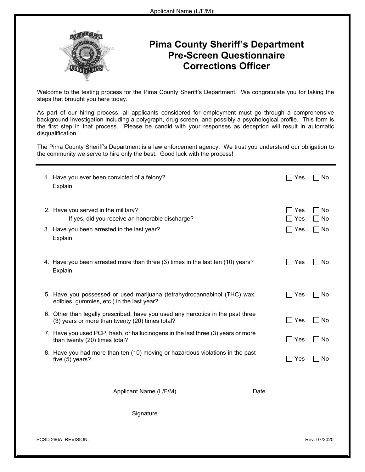

## **Pima County Sheriff's Department Pre-Screen Questionnaire Corrections Officer**

Welcome to the testing process for the Pima County Sheriff's Department. We congratulate you for taking the steps that brought you here today.

As part of our hiring process, all applicants considered for employment must go through a comprehensive background investigation including a polygraph, drug screen, and possibly a psychological profile. This form is the first step in that process. Please be candid with your responses as deception will result in automatic disqualification.

The Pima County Sheriff's Department is a law enforcement agency. We trust you understand our obligation to the community we serve to hire only the best. Good luck with the process!

| 1. Have you ever been convicted of a felony?                                           | Yes                                      |
|----------------------------------------------------------------------------------------|------------------------------------------|
| Explain:                                                                               | l No                                     |
| 2. Have you served in the military?<br>If yes, did you receive an honorable discharge? | Yes<br>□ No<br>$\sqsupset$ Yes<br>    No |
| 3. Have you been arrested in the last year?                                            | $\Box$ Yes                               |
| Explain:                                                                               | $\Box$ No                                |
| 4. Have you been arrested more than three (3) times in the last ten (10) years?        | $\Box$ Yes                               |
| Explain:                                                                               | $\Box$ No                                |
| 5. Have you possessed or used marijuana (tetrahydrocannabinol (THC) wax,               | $\Box$ Yes                               |
| edibles, gummies, etc.) in the last year?                                              | No                                       |
| 6. Other than legally prescribed, have you used any narcotics in the past three        | $\Box$ Yes                               |
| (3) years or more than twenty (20) times total?                                        | $\Box$ No                                |
| 7. Have you used PCP, hash, or hallucinogens in the last three (3) years or more       | $\Box$ Yes                               |
| than twenty (20) times total?                                                          | $\Box$ No                                |
| 8. Have you had more than ten (10) moving or hazardous violations in the past          | Yes                                      |
| five (5) years?                                                                        | <b>No</b>                                |
| Applicant Name (L/F/M)<br>Date                                                         |                                          |
| Signature                                                                              |                                          |
| PCSD 266A REVISION:                                                                    | Rev. 07/2020                             |